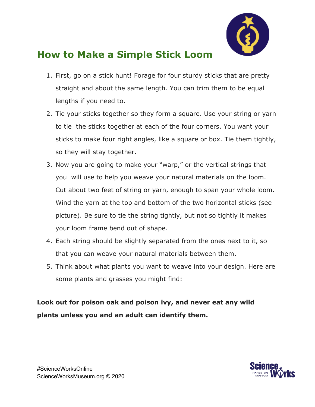

### **How to Make a Simple Stick Loom**

- 1. First, go on a stick hunt! Forage for four sturdy sticks that are pretty straight and about the same length. You can trim them to be equal lengths if you need to.
- 2. Tie your sticks together so they form a square. Use your string or yarn to tie the sticks together at each of the four corners. You want your sticks to make four right angles, like a square or box. Tie them tightly, so they will stay together.
- 3. Now you are going to make your "warp," or the vertical strings that you will use to help you weave your natural materials on the loom. Cut about two feet of string or yarn, enough to span your whole loom. Wind the yarn at the top and bottom of the two horizontal sticks (see picture). Be sure to tie the string tightly, but not so tightly it makes your loom frame bend out of shape.
- 4. Each string should be slightly separated from the ones next to it, so that you can weave your natural materials between them.
- 5. Think about what plants you want to weave into your design. Here are some plants and grasses you might find:

**Look out for poison oak and poison ivy, and never eat any wild plants unless you and an adult can identify them.**

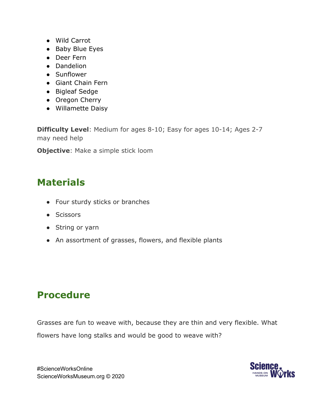- Wild Carrot
- Baby Blue Eyes
- Deer Fern
- Dandelion
- Sunflower
- Giant Chain Fern
- Bigleaf Sedge
- Oregon Cherry
- Willamette Daisy

**Difficulty Level**: Medium for ages 8-10; Easy for ages 10-14; Ages 2-7 may need help

**Objective:** Make a simple stick loom

## **Materials**

- Four sturdy sticks or branches
- Scissors
- String or yarn
- An assortment of grasses, flowers, and flexible plants

# **Procedure**

Grasses are fun to weave with, because they are thin and very flexible. What flowers have long stalks and would be good to weave with?

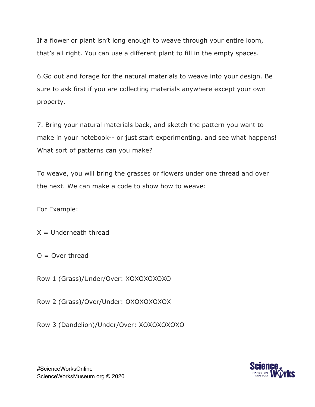If a flower or plant isn't long enough to weave through your entire loom, that's all right. You can use a different plant to fill in the empty spaces.

6.Go out and forage for the natural materials to weave into your design. Be sure to ask first if you are collecting materials anywhere except your own property.

7. Bring your natural materials back, and sketch the pattern you want to make in your notebook-- or just start experimenting, and see what happens! What sort of patterns can you make?

To weave, you will bring the grasses or flowers under one thread and over the next. We can make a code to show how to weave:

For Example:

 $X =$  Underneath thread

 $O = Over thread$ 

Row 1 (Grass)/Under/Over: XOXOXOXOXO

Row 2 (Grass)/Over/Under: OXOXOXOXOX

Row 3 (Dandelion)/Under/Over: XOXOXOXOXO



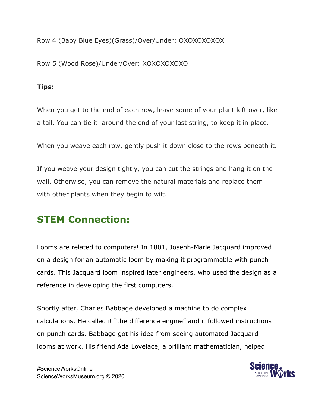Row 4 (Baby Blue Eyes)(Grass)/Over/Under: OXOXOXOXOX

Row 5 (Wood Rose)/Under/Over: XOXOXOXOXO

#### **Tips:**

When you get to the end of each row, leave some of your plant left over, like a tail. You can tie it around the end of your last string, to keep it in place.

When you weave each row, gently push it down close to the rows beneath it.

If you weave your design tightly, you can cut the strings and hang it on the wall. Otherwise, you can remove the natural materials and replace them with other plants when they begin to wilt.

# **STEM Connection:**

Looms are related to computers! In 1801, Joseph-Marie Jacquard improved on a design for an automatic loom by making it programmable with punch cards. This Jacquard loom inspired later engineers, who used the design as a reference in developing the first computers.

Shortly after, Charles Babbage developed a machine to do complex calculations. He called it "the difference engine" and it followed instructions on punch cards. Babbage got his idea from seeing automated Jacquard looms at work. His friend Ada Lovelace, a brilliant mathematician, helped